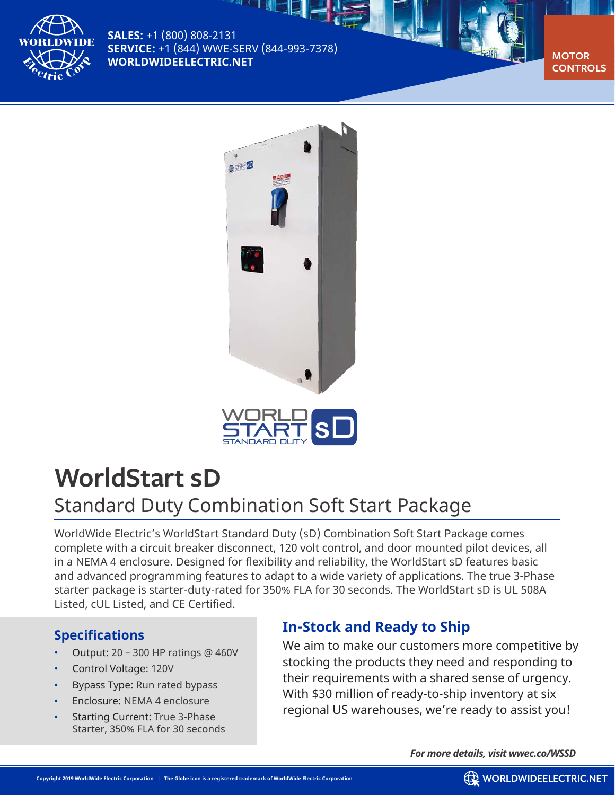

**SALES:** +1 (800) 808-2131 **SERVICE:** +1 (844) WWE-SERV (844-993-7378) **WORLDWIDEELECTRIC.NET** 

▓⊡







# **WorldStart sD**

## Standard Duty Combination Soft Start Package

WorldWide Electric's WorldStart Standard Duty (sD) Combination Soft Start Package comes complete with a circuit breaker disconnect, 120 volt control, and door mounted pilot devices, all in a NEMA 4 enclosure. Designed for flexibility and reliability, the WorldStart sD features basic and advanced programming features to adapt to a wide variety of applications. The true 3-Phase starter package is starter-duty-rated for 350% FLA for 30 seconds. The WorldStart sD is UL 508A Listed, cUL Listed, and CE Certified.

## **Specifications**

- Output: 20 300 HP ratings @ 460V
- Control Voltage: 120V
- Bypass Type: Run rated bypass
- Enclosure: NEMA 4 enclosure
- Starting Current: True 3-Phase Starter, 350% FLA for 30 seconds

## **In-Stock and Ready to Ship**

We aim to make our customers more competitive by stocking the products they need and responding to their requirements with a shared sense of urgency. With \$30 million of ready-to-ship inventory at six regional US warehouses, we're ready to assist you!

*For more details, visit wwec.co/WSSD*